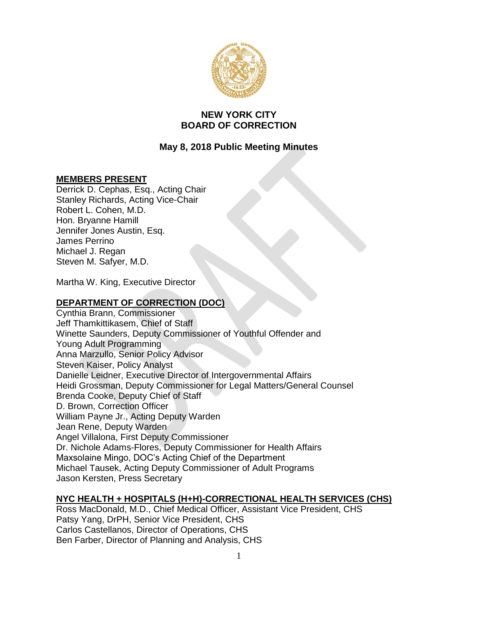

# **NEW YORK CITY BOARD OF CORRECTION**

# **May 8, 2018 Public Meeting Minutes**

# **MEMBERS PRESENT**

Derrick D. Cephas, Esq., Acting Chair Stanley Richards, Acting Vice-Chair Robert L. Cohen, M.D. Hon. Bryanne Hamill Jennifer Jones Austin, Esq. James Perrino Michael J. Regan Steven M. Safyer, M.D.

Martha W. King, Executive Director

# **DEPARTMENT OF CORRECTION (DOC)**

Cynthia Brann, Commissioner Jeff Thamkittikasem, Chief of Staff Winette Saunders, Deputy Commissioner of Youthful Offender and Young Adult Programming Anna Marzullo, Senior Policy Advisor Steven Kaiser, Policy Analyst Danielle Leidner, Executive Director of Intergovernmental Affairs Heidi Grossman, Deputy Commissioner for Legal Matters/General Counsel Brenda Cooke, Deputy Chief of Staff D. Brown, Correction Officer William Payne Jr., Acting Deputy Warden Jean Rene, Deputy Warden Angel Villalona, First Deputy Commissioner Dr. Nichole Adams-Flores, Deputy Commissioner for Health Affairs Maxsolaine Mingo, DOC's Acting Chief of the Department Michael Tausek, Acting Deputy Commissioner of Adult Programs Jason Kersten, Press Secretary

# **NYC HEALTH + HOSPITALS (H+H)-CORRECTIONAL HEALTH SERVICES (CHS)**

Ross MacDonald, M.D., Chief Medical Officer, Assistant Vice President, CHS Patsy Yang, DrPH, Senior Vice President, CHS Carlos Castellanos, Director of Operations, CHS Ben Farber, Director of Planning and Analysis, CHS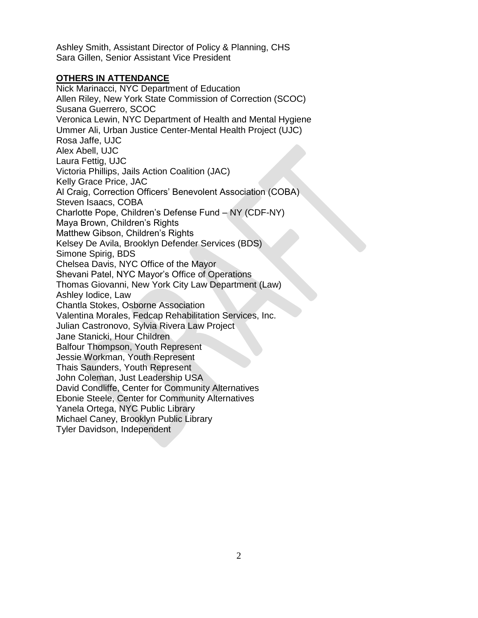Ashley Smith, Assistant Director of Policy & Planning, CHS Sara Gillen, Senior Assistant Vice President

# **OTHERS IN ATTENDANCE**

Nick Marinacci, NYC Department of Education Allen Riley, New York State Commission of Correction (SCOC) Susana Guerrero, SCOC Veronica Lewin, NYC Department of Health and Mental Hygiene Ummer Ali, Urban Justice Center-Mental Health Project (UJC) Rosa Jaffe, UJC Alex Abell, UJC Laura Fettig, UJC Victoria Phillips, Jails Action Coalition (JAC) Kelly Grace Price, JAC Al Craig, Correction Officers' Benevolent Association (COBA) Steven Isaacs, COBA Charlotte Pope, Children's Defense Fund – NY (CDF-NY) Maya Brown, Children's Rights Matthew Gibson, Children's Rights Kelsey De Avila, Brooklyn Defender Services (BDS) Simone Spirig, BDS Chelsea Davis, NYC Office of the Mayor Shevani Patel, NYC Mayor's Office of Operations Thomas Giovanni, New York City Law Department (Law) Ashley Iodice, Law Chantla Stokes, Osborne Association Valentina Morales, Fedcap Rehabilitation Services, Inc. Julian Castronovo, Sylvia Rivera Law Project Jane Stanicki, Hour Children Balfour Thompson, Youth Represent Jessie Workman, Youth Represent Thais Saunders, Youth Represent John Coleman, Just Leadership USA David Condliffe, Center for Community Alternatives Ebonie Steele, Center for Community Alternatives Yanela Ortega, NYC Public Library Michael Caney, Brooklyn Public Library Tyler Davidson, Independent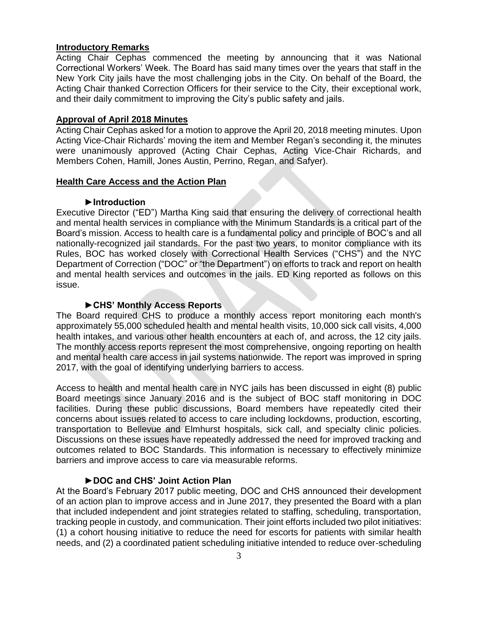#### **Introductory Remarks**

Acting Chair Cephas commenced the meeting by announcing that it was National Correctional Workers' Week. The Board has said many times over the years that staff in the New York City jails have the most challenging jobs in the City. On behalf of the Board, the Acting Chair thanked Correction Officers for their service to the City, their exceptional work, and their daily commitment to improving the City's public safety and jails.

#### **Approval of April 2018 Minutes**

Acting Chair Cephas asked for a motion to approve the April 20, 2018 meeting minutes. Upon Acting Vice-Chair Richards' moving the item and Member Regan's seconding it, the minutes were unanimously approved (Acting Chair Cephas, Acting Vice-Chair Richards, and Members Cohen, Hamill, Jones Austin, Perrino, Regan, and Safyer).

#### **Health Care Access and the Action Plan**

#### **►Introduction**

Executive Director ("ED") Martha King said that ensuring the delivery of correctional health and mental health services in compliance with the Minimum Standards is a critical part of the Board's mission. Access to health care is a fundamental policy and principle of BOC's and all nationally-recognized jail standards. For the past two years, to monitor compliance with its Rules, BOC has worked closely with Correctional Health Services ("CHS") and the NYC Department of Correction ("DOC" or "the Department") on efforts to track and report on health and mental health services and outcomes in the jails. ED King reported as follows on this issue.

## **►CHS' Monthly Access Reports**

The Board required CHS to produce a monthly access report monitoring each month's approximately 55,000 scheduled health and mental health visits, 10,000 sick call visits, 4,000 health intakes, and various other health encounters at each of, and across, the 12 city jails. The monthly access reports represent the most comprehensive, ongoing reporting on health and mental health care access in jail systems nationwide. The report was improved in spring 2017, with the goal of identifying underlying barriers to access.

Access to health and mental health care in NYC jails has been discussed in eight (8) public Board meetings since January 2016 and is the subject of BOC staff monitoring in DOC facilities. During these public discussions, Board members have repeatedly cited their concerns about issues related to access to care including lockdowns, production, escorting, transportation to Bellevue and Elmhurst hospitals, sick call, and specialty clinic policies. Discussions on these issues have repeatedly addressed the need for improved tracking and outcomes related to BOC Standards. This information is necessary to effectively minimize barriers and improve access to care via measurable reforms.

# **►DOC and CHS' Joint Action Plan**

At the Board's February 2017 public meeting, DOC and CHS announced their development of an action plan to improve access and in June 2017, they presented the Board with a plan that included independent and joint strategies related to staffing, scheduling, transportation, tracking people in custody, and communication. Their joint efforts included two pilot initiatives: (1) a cohort housing initiative to reduce the need for escorts for patients with similar health needs, and (2) a coordinated patient scheduling initiative intended to reduce over-scheduling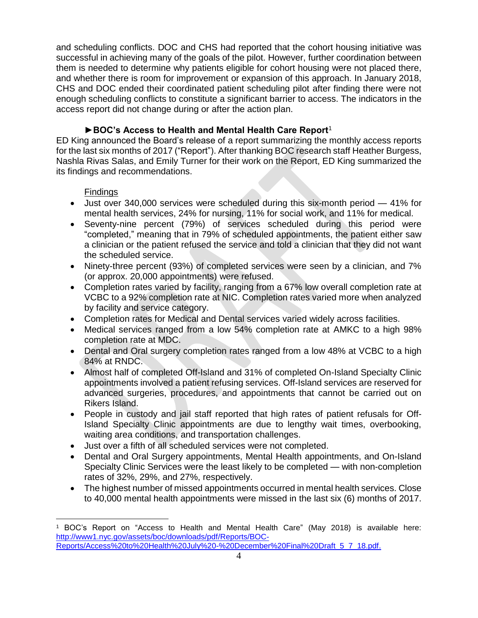and scheduling conflicts. DOC and CHS had reported that the cohort housing initiative was successful in achieving many of the goals of the pilot. However, further coordination between them is needed to determine why patients eligible for cohort housing were not placed there, and whether there is room for improvement or expansion of this approach. In January 2018, CHS and DOC ended their coordinated patient scheduling pilot after finding there were not enough scheduling conflicts to constitute a significant barrier to access. The indicators in the access report did not change during or after the action plan.

# **►BOC's Access to Health and Mental Health Care Report**<sup>1</sup>

ED King announced the Board's release of a report summarizing the monthly access reports for the last six months of 2017 ("Report"). After thanking BOC research staff Heather Burgess, Nashla Rivas Salas, and Emily Turner for their work on the Report, ED King summarized the its findings and recommendations.

# **Findings**

 $\overline{a}$ 

- Just over 340,000 services were scheduled during this six-month period 41% for mental health services, 24% for nursing, 11% for social work, and 11% for medical.
- Seventy-nine percent (79%) of services scheduled during this period were "completed," meaning that in 79% of scheduled appointments, the patient either saw a clinician or the patient refused the service and told a clinician that they did not want the scheduled service.
- Ninety-three percent (93%) of completed services were seen by a clinician, and 7% (or approx. 20,000 appointments) were refused.
- Completion rates varied by facility, ranging from a 67% low overall completion rate at VCBC to a 92% completion rate at NIC. Completion rates varied more when analyzed by facility and service category.
- Completion rates for Medical and Dental services varied widely across facilities.
- Medical services ranged from a low 54% completion rate at AMKC to a high 98% completion rate at MDC.
- Dental and Oral surgery completion rates ranged from a low 48% at VCBC to a high 84% at RNDC.
- Almost half of completed Off-Island and 31% of completed On-Island Specialty Clinic appointments involved a patient refusing services. Off-Island services are reserved for advanced surgeries, procedures, and appointments that cannot be carried out on Rikers Island.
- People in custody and jail staff reported that high rates of patient refusals for Off-Island Specialty Clinic appointments are due to lengthy wait times, overbooking, waiting area conditions, and transportation challenges.
- Just over a fifth of all scheduled services were not completed.
- Dental and Oral Surgery appointments, Mental Health appointments, and On-Island Specialty Clinic Services were the least likely to be completed — with non-completion rates of 32%, 29%, and 27%, respectively.
- The highest number of missed appointments occurred in mental health services. Close to 40,000 mental health appointments were missed in the last six (6) months of 2017.

<sup>1</sup> BOC's Report on "Access to Health and Mental Health Care" (May 2018) is available here: [http://www1.nyc.gov/assets/boc/downloads/pdf/Reports/BOC-](http://www1.nyc.gov/assets/boc/downloads/pdf/Reports/BOC-Reports/Access%20to%20Health%20July%20-%20December%20Final%20Draft_5_7_18.pdf)[Reports/Access%20to%20Health%20July%20-%20December%20Final%20Draft\\_5\\_7\\_18.pdf.](http://www1.nyc.gov/assets/boc/downloads/pdf/Reports/BOC-Reports/Access%20to%20Health%20July%20-%20December%20Final%20Draft_5_7_18.pdf)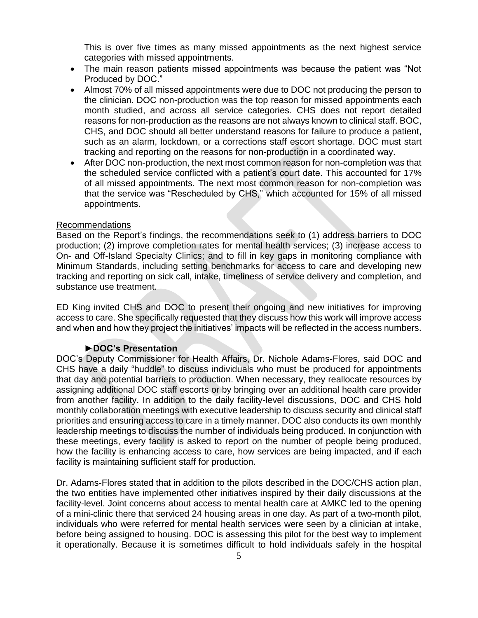This is over five times as many missed appointments as the next highest service categories with missed appointments.

- The main reason patients missed appointments was because the patient was "Not Produced by DOC."
- Almost 70% of all missed appointments were due to DOC not producing the person to the clinician. DOC non-production was the top reason for missed appointments each month studied, and across all service categories. CHS does not report detailed reasons for non-production as the reasons are not always known to clinical staff. BOC, CHS, and DOC should all better understand reasons for failure to produce a patient, such as an alarm, lockdown, or a corrections staff escort shortage. DOC must start tracking and reporting on the reasons for non-production in a coordinated way.
- After DOC non-production, the next most common reason for non-completion was that the scheduled service conflicted with a patient's court date. This accounted for 17% of all missed appointments. The next most common reason for non-completion was that the service was "Rescheduled by CHS," which accounted for 15% of all missed appointments.

#### Recommendations

Based on the Report's findings, the recommendations seek to (1) address barriers to DOC production; (2) improve completion rates for mental health services; (3) increase access to On- and Off-Island Specialty Clinics; and to fill in key gaps in monitoring compliance with Minimum Standards, including setting benchmarks for access to care and developing new tracking and reporting on sick call, intake, timeliness of service delivery and completion, and substance use treatment.

ED King invited CHS and DOC to present their ongoing and new initiatives for improving access to care. She specifically requested that they discuss how this work will improve access and when and how they project the initiatives' impacts will be reflected in the access numbers.

#### **►DOC's Presentation**

DOC's Deputy Commissioner for Health Affairs, Dr. Nichole Adams-Flores, said DOC and CHS have a daily "huddle" to discuss individuals who must be produced for appointments that day and potential barriers to production. When necessary, they reallocate resources by assigning additional DOC staff escorts or by bringing over an additional health care provider from another facility. In addition to the daily facility-level discussions, DOC and CHS hold monthly collaboration meetings with executive leadership to discuss security and clinical staff priorities and ensuring access to care in a timely manner. DOC also conducts its own monthly leadership meetings to discuss the number of individuals being produced. In conjunction with these meetings, every facility is asked to report on the number of people being produced, how the facility is enhancing access to care, how services are being impacted, and if each facility is maintaining sufficient staff for production.

Dr. Adams-Flores stated that in addition to the pilots described in the DOC/CHS action plan, the two entities have implemented other initiatives inspired by their daily discussions at the facility-level. Joint concerns about access to mental health care at AMKC led to the opening of a mini-clinic there that serviced 24 housing areas in one day. As part of a two-month pilot, individuals who were referred for mental health services were seen by a clinician at intake, before being assigned to housing. DOC is assessing this pilot for the best way to implement it operationally. Because it is sometimes difficult to hold individuals safely in the hospital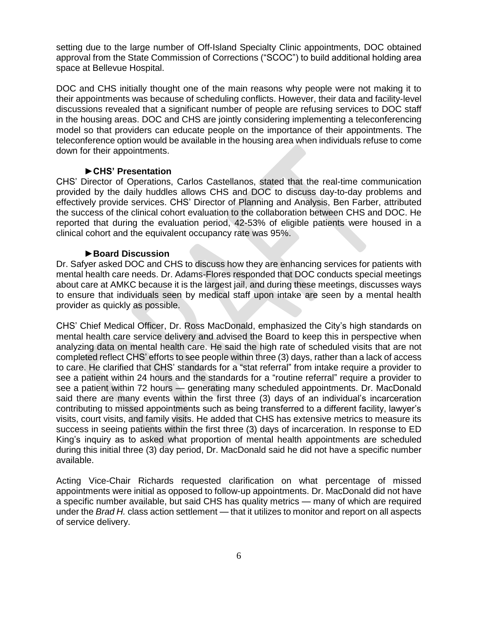setting due to the large number of Off-Island Specialty Clinic appointments, DOC obtained approval from the State Commission of Corrections ("SCOC") to build additional holding area space at Bellevue Hospital.

DOC and CHS initially thought one of the main reasons why people were not making it to their appointments was because of scheduling conflicts. However, their data and facility-level discussions revealed that a significant number of people are refusing services to DOC staff in the housing areas. DOC and CHS are jointly considering implementing a teleconferencing model so that providers can educate people on the importance of their appointments. The teleconference option would be available in the housing area when individuals refuse to come down for their appointments.

## **►CHS' Presentation**

CHS' Director of Operations, Carlos Castellanos, stated that the real-time communication provided by the daily huddles allows CHS and DOC to discuss day-to-day problems and effectively provide services. CHS' Director of Planning and Analysis, Ben Farber, attributed the success of the clinical cohort evaluation to the collaboration between CHS and DOC. He reported that during the evaluation period, 42-53% of eligible patients were housed in a clinical cohort and the equivalent occupancy rate was 95%.

## **►Board Discussion**

Dr. Safyer asked DOC and CHS to discuss how they are enhancing services for patients with mental health care needs. Dr. Adams-Flores responded that DOC conducts special meetings about care at AMKC because it is the largest jail, and during these meetings, discusses ways to ensure that individuals seen by medical staff upon intake are seen by a mental health provider as quickly as possible.

CHS' Chief Medical Officer, Dr. Ross MacDonald, emphasized the City's high standards on mental health care service delivery and advised the Board to keep this in perspective when analyzing data on mental health care. He said the high rate of scheduled visits that are not completed reflect CHS' efforts to see people within three (3) days, rather than a lack of access to care. He clarified that CHS' standards for a "stat referral" from intake require a provider to see a patient within 24 hours and the standards for a "routine referral" require a provider to see a patient within 72 hours — generating many scheduled appointments. Dr. MacDonald said there are many events within the first three (3) days of an individual's incarceration contributing to missed appointments such as being transferred to a different facility, lawyer's visits, court visits, and family visits. He added that CHS has extensive metrics to measure its success in seeing patients within the first three (3) days of incarceration. In response to ED King's inquiry as to asked what proportion of mental health appointments are scheduled during this initial three (3) day period, Dr. MacDonald said he did not have a specific number available.

Acting Vice-Chair Richards requested clarification on what percentage of missed appointments were initial as opposed to follow-up appointments. Dr. MacDonald did not have a specific number available, but said CHS has quality metrics — many of which are required under the *Brad H.* class action settlement — that it utilizes to monitor and report on all aspects of service delivery.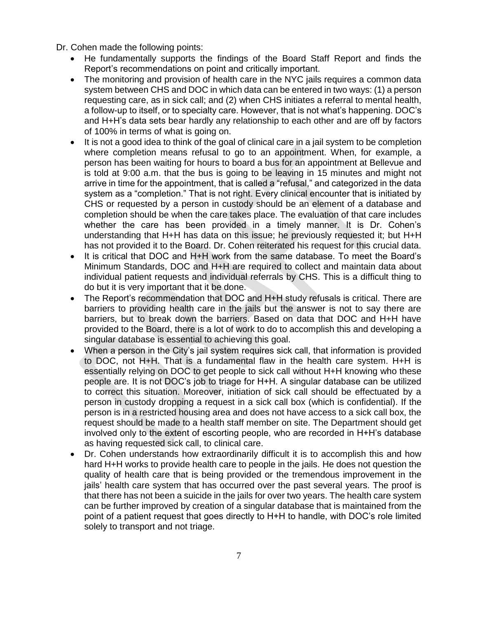Dr. Cohen made the following points:

- He fundamentally supports the findings of the Board Staff Report and finds the Report's recommendations on point and critically important.
- The monitoring and provision of health care in the NYC jails requires a common data system between CHS and DOC in which data can be entered in two ways: (1) a person requesting care, as in sick call; and (2) when CHS initiates a referral to mental health, a follow-up to itself, or to specialty care. However, that is not what's happening. DOC's and H+H's data sets bear hardly any relationship to each other and are off by factors of 100% in terms of what is going on.
- It is not a good idea to think of the goal of clinical care in a jail system to be completion where completion means refusal to go to an appointment. When, for example, a person has been waiting for hours to board a bus for an appointment at Bellevue and is told at 9:00 a.m. that the bus is going to be leaving in 15 minutes and might not arrive in time for the appointment, that is called a "refusal," and categorized in the data system as a "completion." That is not right. Every clinical encounter that is initiated by CHS or requested by a person in custody should be an element of a database and completion should be when the care takes place. The evaluation of that care includes whether the care has been provided in a timely manner. It is Dr. Cohen's understanding that H+H has data on this issue; he previously requested it; but H+H has not provided it to the Board. Dr. Cohen reiterated his request for this crucial data.
- It is critical that DOC and H+H work from the same database. To meet the Board's Minimum Standards, DOC and H+H are required to collect and maintain data about individual patient requests and individual referrals by CHS. This is a difficult thing to do but it is very important that it be done.
- The Report's recommendation that DOC and H+H study refusals is critical. There are barriers to providing health care in the jails but the answer is not to say there are barriers, but to break down the barriers. Based on data that DOC and H+H have provided to the Board, there is a lot of work to do to accomplish this and developing a singular database is essential to achieving this goal.
- When a person in the City's jail system requires sick call, that information is provided to DOC, not H+H. That is a fundamental flaw in the health care system. H+H is essentially relying on DOC to get people to sick call without H+H knowing who these people are. It is not DOC's job to triage for H+H. A singular database can be utilized to correct this situation. Moreover, initiation of sick call should be effectuated by a person in custody dropping a request in a sick call box (which is confidential). If the person is in a restricted housing area and does not have access to a sick call box, the request should be made to a health staff member on site. The Department should get involved only to the extent of escorting people, who are recorded in H+H's database as having requested sick call, to clinical care.
- Dr. Cohen understands how extraordinarily difficult it is to accomplish this and how hard H+H works to provide health care to people in the jails. He does not question the quality of health care that is being provided or the tremendous improvement in the jails' health care system that has occurred over the past several years. The proof is that there has not been a suicide in the jails for over two years. The health care system can be further improved by creation of a singular database that is maintained from the point of a patient request that goes directly to H+H to handle, with DOC's role limited solely to transport and not triage.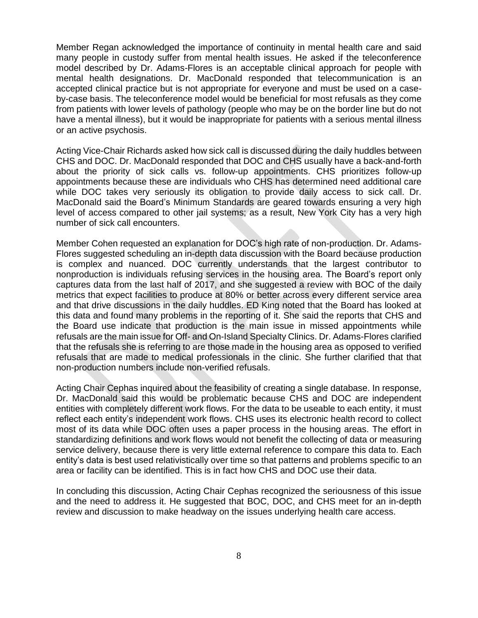Member Regan acknowledged the importance of continuity in mental health care and said many people in custody suffer from mental health issues. He asked if the teleconference model described by Dr. Adams-Flores is an acceptable clinical approach for people with mental health designations. Dr. MacDonald responded that telecommunication is an accepted clinical practice but is not appropriate for everyone and must be used on a caseby-case basis. The teleconference model would be beneficial for most refusals as they come from patients with lower levels of pathology (people who may be on the border line but do not have a mental illness), but it would be inappropriate for patients with a serious mental illness or an active psychosis.

Acting Vice-Chair Richards asked how sick call is discussed during the daily huddles between CHS and DOC. Dr. MacDonald responded that DOC and CHS usually have a back-and-forth about the priority of sick calls vs. follow-up appointments. CHS prioritizes follow-up appointments because these are individuals who CHS has determined need additional care while DOC takes very seriously its obligation to provide daily access to sick call. Dr. MacDonald said the Board's Minimum Standards are geared towards ensuring a very high level of access compared to other jail systems; as a result, New York City has a very high number of sick call encounters.

Member Cohen requested an explanation for DOC's high rate of non-production. Dr. Adams-Flores suggested scheduling an in-depth data discussion with the Board because production is complex and nuanced. DOC currently understands that the largest contributor to nonproduction is individuals refusing services in the housing area. The Board's report only captures data from the last half of 2017, and she suggested a review with BOC of the daily metrics that expect facilities to produce at 80% or better across every different service area and that drive discussions in the daily huddles. ED King noted that the Board has looked at this data and found many problems in the reporting of it. She said the reports that CHS and the Board use indicate that production is the main issue in missed appointments while refusals are the main issue for Off- and On-Island Specialty Clinics. Dr. Adams-Flores clarified that the refusals she is referring to are those made in the housing area as opposed to verified refusals that are made to medical professionals in the clinic. She further clarified that that non-production numbers include non-verified refusals.

Acting Chair Cephas inquired about the feasibility of creating a single database. In response, Dr. MacDonald said this would be problematic because CHS and DOC are independent entities with completely different work flows. For the data to be useable to each entity, it must reflect each entity's independent work flows. CHS uses its electronic health record to collect most of its data while DOC often uses a paper process in the housing areas. The effort in standardizing definitions and work flows would not benefit the collecting of data or measuring service delivery, because there is very little external reference to compare this data to. Each entity's data is best used relativistically over time so that patterns and problems specific to an area or facility can be identified. This is in fact how CHS and DOC use their data.

In concluding this discussion, Acting Chair Cephas recognized the seriousness of this issue and the need to address it. He suggested that BOC, DOC, and CHS meet for an in-depth review and discussion to make headway on the issues underlying health care access.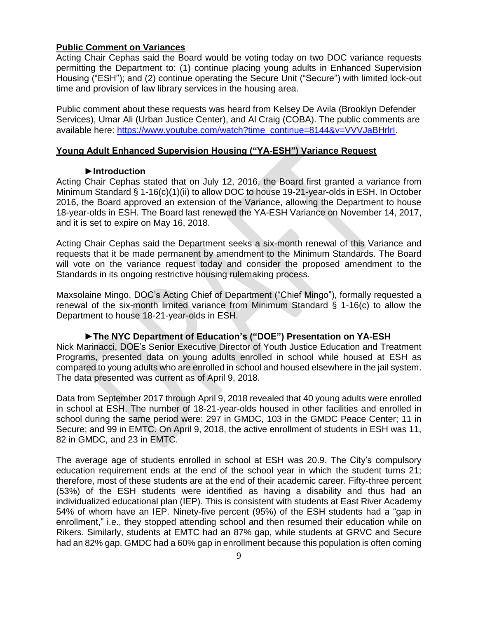## **Public Comment on Variances**

Acting Chair Cephas said the Board would be voting today on two DOC variance requests permitting the Department to: (1) continue placing young adults in Enhanced Supervision Housing ("ESH"); and (2) continue operating the Secure Unit ("Secure") with limited lock-out time and provision of law library services in the housing area.

Public comment about these requests was heard from Kelsey De Avila (Brooklyn Defender Services), Umar Ali (Urban Justice Center), and Al Craig (COBA). The public comments are available here: [https://www.youtube.com/watch?time\\_continue=8144&v=VVVJaBHrlrI.](https://www.youtube.com/watch?time_continue=8144&v=VVVJaBHrlrI)

#### **Young Adult Enhanced Supervision Housing ("YA-ESH") Variance Request**

#### **►Introduction**

Acting Chair Cephas stated that on July 12, 2016, the Board first granted a variance from Minimum Standard § 1-16(c)(1)(ii) to allow DOC to house 19-21-year-olds in ESH. In October 2016, the Board approved an extension of the Variance, allowing the Department to house 18-year-olds in ESH. The Board last renewed the YA-ESH Variance on November 14, 2017, and it is set to expire on May 16, 2018.

Acting Chair Cephas said the Department seeks a six-month renewal of this Variance and requests that it be made permanent by amendment to the Minimum Standards. The Board will vote on the variance request today and consider the proposed amendment to the Standards in its ongoing restrictive housing rulemaking process.

Maxsolaine Mingo, DOC's Acting Chief of Department ("Chief Mingo"), formally requested a renewal of the six-month limited variance from Minimum Standard § 1-16(c) to allow the Department to house 18-21-year-olds in ESH.

#### **►The NYC Department of Education's ("DOE") Presentation on YA-ESH**

Nick Marinacci, DOE's Senior Executive Director of Youth Justice Education and Treatment Programs, presented data on young adults enrolled in school while housed at ESH as compared to young adults who are enrolled in school and housed elsewhere in the jail system. The data presented was current as of April 9, 2018.

Data from September 2017 through April 9, 2018 revealed that 40 young adults were enrolled in school at ESH. The number of 18-21-year-olds housed in other facilities and enrolled in school during the same period were: 297 in GMDC, 103 in the GMDC Peace Center; 11 in Secure; and 99 in EMTC. On April 9, 2018, the active enrollment of students in ESH was 11, 82 in GMDC, and 23 in EMTC.

The average age of students enrolled in school at ESH was 20.9. The City's compulsory education requirement ends at the end of the school year in which the student turns 21; therefore, most of these students are at the end of their academic career. Fifty-three percent (53%) of the ESH students were identified as having a disability and thus had an individualized educational plan (IEP). This is consistent with students at East River Academy 54% of whom have an IEP. Ninety-five percent (95%) of the ESH students had a "gap in enrollment," i.e., they stopped attending school and then resumed their education while on Rikers. Similarly, students at EMTC had an 87% gap, while students at GRVC and Secure had an 82% gap. GMDC had a 60% gap in enrollment because this population is often coming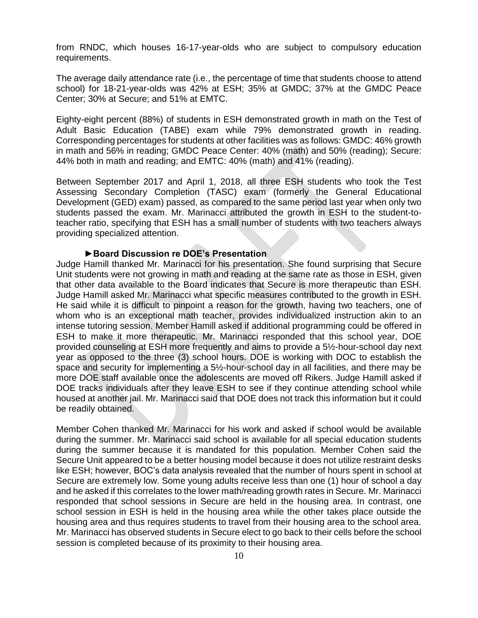from RNDC, which houses 16-17-year-olds who are subject to compulsory education requirements.

The average daily attendance rate (i.e., the percentage of time that students choose to attend school) for 18-21-year-olds was 42% at ESH; 35% at GMDC; 37% at the GMDC Peace Center; 30% at Secure; and 51% at EMTC.

Eighty-eight percent (88%) of students in ESH demonstrated growth in math on the Test of Adult Basic Education (TABE) exam while 79% demonstrated growth in reading. Corresponding percentages for students at other facilities was as follows: GMDC: 46% growth in math and 56% in reading; GMDC Peace Center: 40% (math) and 50% (reading); Secure: 44% both in math and reading; and EMTC: 40% (math) and 41% (reading).

Between September 2017 and April 1, 2018, all three ESH students who took the Test Assessing Secondary Completion (TASC) exam (formerly the General Educational Development (GED) exam) passed, as compared to the same period last year when only two students passed the exam. Mr. Marinacci attributed the growth in ESH to the student-toteacher ratio, specifying that ESH has a small number of students with two teachers always providing specialized attention.

#### **►Board Discussion re DOE's Presentation**

Judge Hamill thanked Mr. Marinacci for his presentation. She found surprising that Secure Unit students were not growing in math and reading at the same rate as those in ESH, given that other data available to the Board indicates that Secure is more therapeutic than ESH. Judge Hamill asked Mr. Marinacci what specific measures contributed to the growth in ESH. He said while it is difficult to pinpoint a reason for the growth, having two teachers, one of whom who is an exceptional math teacher, provides individualized instruction akin to an intense tutoring session. Member Hamill asked if additional programming could be offered in ESH to make it more therapeutic. Mr. Marinacci responded that this school year, DOE provided counseling at ESH more frequently and aims to provide a 5½-hour-school day next year as opposed to the three (3) school hours. DOE is working with DOC to establish the space and security for implementing a 5½-hour-school day in all facilities, and there may be more DOE staff available once the adolescents are moved off Rikers. Judge Hamill asked if DOE tracks individuals after they leave ESH to see if they continue attending school while housed at another jail. Mr. Marinacci said that DOE does not track this information but it could be readily obtained.

Member Cohen thanked Mr. Marinacci for his work and asked if school would be available during the summer. Mr. Marinacci said school is available for all special education students during the summer because it is mandated for this population. Member Cohen said the Secure Unit appeared to be a better housing model because it does not utilize restraint desks like ESH; however, BOC's data analysis revealed that the number of hours spent in school at Secure are extremely low. Some young adults receive less than one (1) hour of school a day and he asked if this correlates to the lower math/reading growth rates in Secure. Mr. Marinacci responded that school sessions in Secure are held in the housing area. In contrast, one school session in ESH is held in the housing area while the other takes place outside the housing area and thus requires students to travel from their housing area to the school area. Mr. Marinacci has observed students in Secure elect to go back to their cells before the school session is completed because of its proximity to their housing area.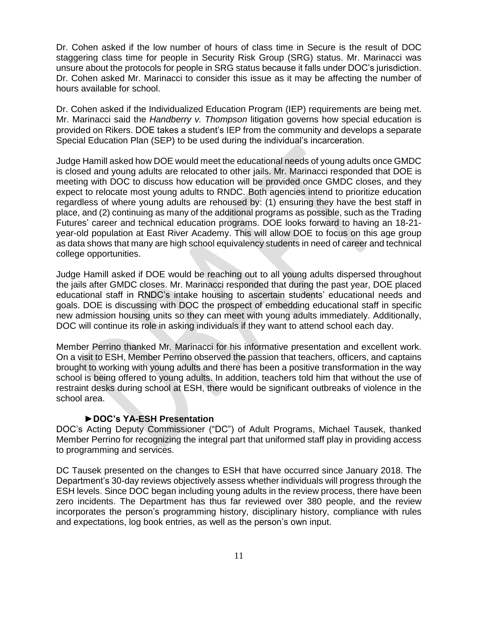Dr. Cohen asked if the low number of hours of class time in Secure is the result of DOC staggering class time for people in Security Risk Group (SRG) status. Mr. Marinacci was unsure about the protocols for people in SRG status because it falls under DOC's jurisdiction. Dr. Cohen asked Mr. Marinacci to consider this issue as it may be affecting the number of hours available for school.

Dr. Cohen asked if the Individualized Education Program (IEP) requirements are being met. Mr. Marinacci said the *Handberry v. Thompson* litigation governs how special education is provided on Rikers. DOE takes a student's IEP from the community and develops a separate Special Education Plan (SEP) to be used during the individual's incarceration.

Judge Hamill asked how DOE would meet the educational needs of young adults once GMDC is closed and young adults are relocated to other jails. Mr. Marinacci responded that DOE is meeting with DOC to discuss how education will be provided once GMDC closes, and they expect to relocate most young adults to RNDC. Both agencies intend to prioritize education regardless of where young adults are rehoused by: (1) ensuring they have the best staff in place, and (2) continuing as many of the additional programs as possible, such as the Trading Futures' career and technical education programs. DOE looks forward to having an 18-21 year-old population at East River Academy. This will allow DOE to focus on this age group as data shows that many are high school equivalency students in need of career and technical college opportunities.

Judge Hamill asked if DOE would be reaching out to all young adults dispersed throughout the jails after GMDC closes. Mr. Marinacci responded that during the past year, DOE placed educational staff in RNDC's intake housing to ascertain students' educational needs and goals. DOE is discussing with DOC the prospect of embedding educational staff in specific new admission housing units so they can meet with young adults immediately. Additionally, DOC will continue its role in asking individuals if they want to attend school each day.

Member Perrino thanked Mr. Marinacci for his informative presentation and excellent work. On a visit to ESH, Member Perrino observed the passion that teachers, officers, and captains brought to working with young adults and there has been a positive transformation in the way school is being offered to young adults. In addition, teachers told him that without the use of restraint desks during school at ESH, there would be significant outbreaks of violence in the school area.

#### **►DOC's YA-ESH Presentation**

DOC's Acting Deputy Commissioner ("DC") of Adult Programs, Michael Tausek, thanked Member Perrino for recognizing the integral part that uniformed staff play in providing access to programming and services.

DC Tausek presented on the changes to ESH that have occurred since January 2018. The Department's 30-day reviews objectively assess whether individuals will progress through the ESH levels. Since DOC began including young adults in the review process, there have been zero incidents. The Department has thus far reviewed over 380 people, and the review incorporates the person's programming history, disciplinary history, compliance with rules and expectations, log book entries, as well as the person's own input.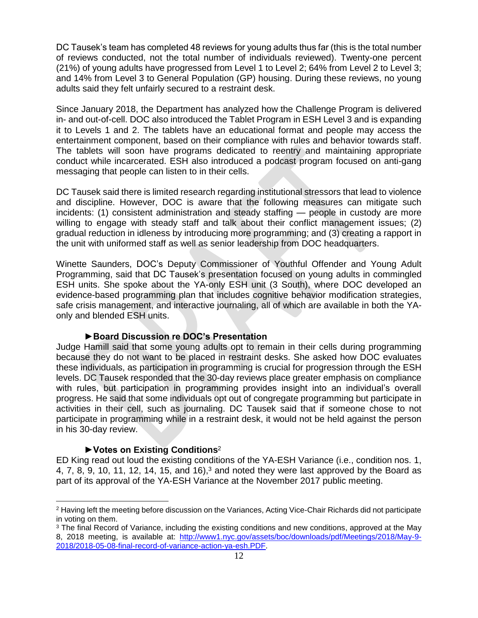DC Tausek's team has completed 48 reviews for young adults thus far (this is the total number of reviews conducted, not the total number of individuals reviewed). Twenty-one percent (21%) of young adults have progressed from Level 1 to Level 2; 64% from Level 2 to Level 3; and 14% from Level 3 to General Population (GP) housing. During these reviews, no young adults said they felt unfairly secured to a restraint desk.

Since January 2018, the Department has analyzed how the Challenge Program is delivered in- and out-of-cell. DOC also introduced the Tablet Program in ESH Level 3 and is expanding it to Levels 1 and 2. The tablets have an educational format and people may access the entertainment component, based on their compliance with rules and behavior towards staff. The tablets will soon have programs dedicated to reentry and maintaining appropriate conduct while incarcerated. ESH also introduced a podcast program focused on anti-gang messaging that people can listen to in their cells.

DC Tausek said there is limited research regarding institutional stressors that lead to violence and discipline. However, DOC is aware that the following measures can mitigate such incidents: (1) consistent administration and steady staffing — people in custody are more willing to engage with steady staff and talk about their conflict management issues; (2) gradual reduction in idleness by introducing more programming; and (3) creating a rapport in the unit with uniformed staff as well as senior leadership from DOC headquarters.

Winette Saunders, DOC's Deputy Commissioner of Youthful Offender and Young Adult Programming, said that DC Tausek's presentation focused on young adults in commingled ESH units. She spoke about the YA-only ESH unit (3 South), where DOC developed an evidence-based programming plan that includes cognitive behavior modification strategies, safe crisis management, and interactive journaling, all of which are available in both the YAonly and blended ESH units.

#### **►Board Discussion re DOC's Presentation**

Judge Hamill said that some young adults opt to remain in their cells during programming because they do not want to be placed in restraint desks. She asked how DOC evaluates these individuals, as participation in programming is crucial for progression through the ESH levels. DC Tausek responded that the 30-day reviews place greater emphasis on compliance with rules, but participation in programming provides insight into an individual's overall progress. He said that some individuals opt out of congregate programming but participate in activities in their cell, such as journaling. DC Tausek said that if someone chose to not participate in programming while in a restraint desk, it would not be held against the person in his 30-day review.

#### **►Votes on Existing Conditions**<sup>2</sup>

 $\overline{a}$ 

ED King read out loud the existing conditions of the YA-ESH Variance (i.e., condition nos. 1, 4, 7, 8, 9, 10, 11, 12, 14, 15, and 16),<sup>3</sup> and noted they were last approved by the Board as part of its approval of the YA-ESH Variance at the November 2017 public meeting.

<sup>2</sup> Having left the meeting before discussion on the Variances, Acting Vice-Chair Richards did not participate in voting on them.

<sup>&</sup>lt;sup>3</sup> The final Record of Variance, including the existing conditions and new conditions, approved at the May 8, 2018 meeting, is available at: [http://www1.nyc.gov/assets/boc/downloads/pdf/Meetings/2018/May-9-](http://www1.nyc.gov/assets/boc/downloads/pdf/Meetings/2018/May-9-2018/2018-05-08-final-record-of-variance-action-ya-esh.PDF) [2018/2018-05-08-final-record-of-variance-action-ya-esh.PDF.](http://www1.nyc.gov/assets/boc/downloads/pdf/Meetings/2018/May-9-2018/2018-05-08-final-record-of-variance-action-ya-esh.PDF)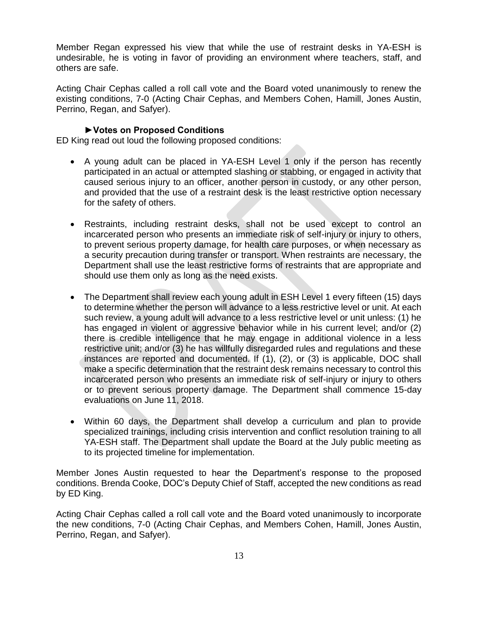Member Regan expressed his view that while the use of restraint desks in YA-ESH is undesirable, he is voting in favor of providing an environment where teachers, staff, and others are safe.

Acting Chair Cephas called a roll call vote and the Board voted unanimously to renew the existing conditions, 7-0 (Acting Chair Cephas, and Members Cohen, Hamill, Jones Austin, Perrino, Regan, and Safyer).

## **►Votes on Proposed Conditions**

ED King read out loud the following proposed conditions:

- A young adult can be placed in YA-ESH Level 1 only if the person has recently participated in an actual or attempted slashing or stabbing, or engaged in activity that caused serious injury to an officer, another person in custody, or any other person, and provided that the use of a restraint desk is the least restrictive option necessary for the safety of others.
- Restraints, including restraint desks, shall not be used except to control an incarcerated person who presents an immediate risk of self-injury or injury to others, to prevent serious property damage, for health care purposes, or when necessary as a security precaution during transfer or transport. When restraints are necessary, the Department shall use the least restrictive forms of restraints that are appropriate and should use them only as long as the need exists.
- The Department shall review each young adult in ESH Level 1 every fifteen (15) days to determine whether the person will advance to a less restrictive level or unit. At each such review, a young adult will advance to a less restrictive level or unit unless: (1) he has engaged in violent or aggressive behavior while in his current level; and/or (2) there is credible intelligence that he may engage in additional violence in a less restrictive unit; and/or (3) he has willfully disregarded rules and regulations and these instances are reported and documented. If (1), (2), or (3) is applicable, DOC shall make a specific determination that the restraint desk remains necessary to control this incarcerated person who presents an immediate risk of self-injury or injury to others or to prevent serious property damage. The Department shall commence 15-day evaluations on June 11, 2018.
- Within 60 days, the Department shall develop a curriculum and plan to provide specialized trainings, including crisis intervention and conflict resolution training to all YA-ESH staff. The Department shall update the Board at the July public meeting as to its projected timeline for implementation.

Member Jones Austin requested to hear the Department's response to the proposed conditions. Brenda Cooke, DOC's Deputy Chief of Staff, accepted the new conditions as read by ED King.

Acting Chair Cephas called a roll call vote and the Board voted unanimously to incorporate the new conditions, 7-0 (Acting Chair Cephas, and Members Cohen, Hamill, Jones Austin, Perrino, Regan, and Safyer).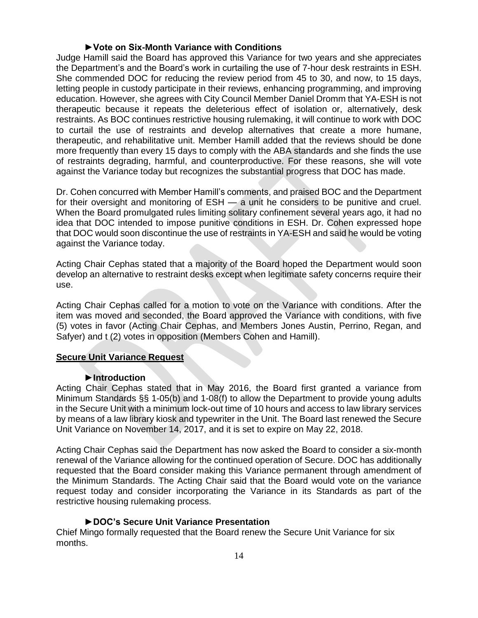#### **►Vote on Six-Month Variance with Conditions**

Judge Hamill said the Board has approved this Variance for two years and she appreciates the Department's and the Board's work in curtailing the use of 7-hour desk restraints in ESH. She commended DOC for reducing the review period from 45 to 30, and now, to 15 days, letting people in custody participate in their reviews, enhancing programming, and improving education. However, she agrees with City Council Member Daniel Dromm that YA-ESH is not therapeutic because it repeats the deleterious effect of isolation or, alternatively, desk restraints. As BOC continues restrictive housing rulemaking, it will continue to work with DOC to curtail the use of restraints and develop alternatives that create a more humane, therapeutic, and rehabilitative unit. Member Hamill added that the reviews should be done more frequently than every 15 days to comply with the ABA standards and she finds the use of restraints degrading, harmful, and counterproductive. For these reasons, she will vote against the Variance today but recognizes the substantial progress that DOC has made.

Dr. Cohen concurred with Member Hamill's comments, and praised BOC and the Department for their oversight and monitoring of ESH — a unit he considers to be punitive and cruel. When the Board promulgated rules limiting solitary confinement several years ago, it had no idea that DOC intended to impose punitive conditions in ESH. Dr. Cohen expressed hope that DOC would soon discontinue the use of restraints in YA-ESH and said he would be voting against the Variance today.

Acting Chair Cephas stated that a majority of the Board hoped the Department would soon develop an alternative to restraint desks except when legitimate safety concerns require their use.

Acting Chair Cephas called for a motion to vote on the Variance with conditions. After the item was moved and seconded, the Board approved the Variance with conditions, with five (5) votes in favor (Acting Chair Cephas, and Members Jones Austin, Perrino, Regan, and Safyer) and t (2) votes in opposition (Members Cohen and Hamill).

#### **Secure Unit Variance Request**

#### **►Introduction**

Acting Chair Cephas stated that in May 2016, the Board first granted a variance from Minimum Standards §§ 1-05(b) and 1-08(f) to allow the Department to provide young adults in the Secure Unit with a minimum lock-out time of 10 hours and access to law library services by means of a law library kiosk and typewriter in the Unit. The Board last renewed the Secure Unit Variance on November 14, 2017, and it is set to expire on May 22, 2018.

Acting Chair Cephas said the Department has now asked the Board to consider a six-month renewal of the Variance allowing for the continued operation of Secure. DOC has additionally requested that the Board consider making this Variance permanent through amendment of the Minimum Standards. The Acting Chair said that the Board would vote on the variance request today and consider incorporating the Variance in its Standards as part of the restrictive housing rulemaking process.

#### **►DOC's Secure Unit Variance Presentation**

Chief Mingo formally requested that the Board renew the Secure Unit Variance for six months.